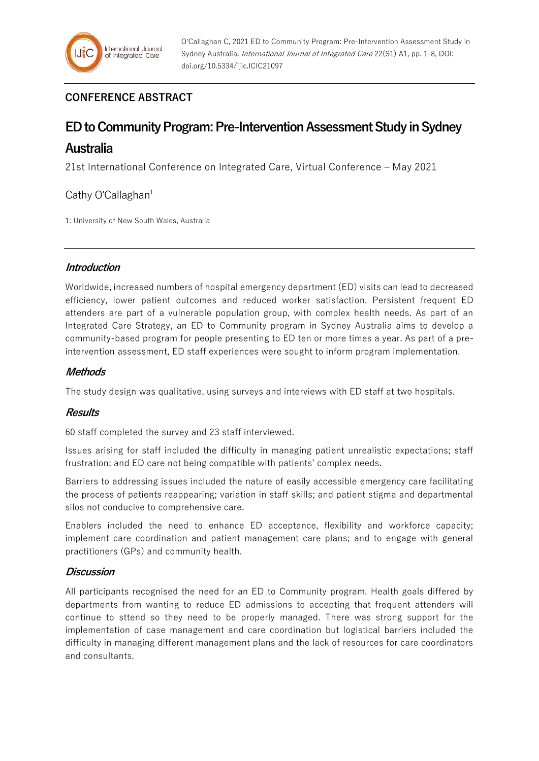# **CONFERENCE ABSTRACT**

# **ED to Community Program: Pre-Intervention Assessment Study in Sydney**

# **Australia**

21st International Conference on Integrated Care, Virtual Conference – May 2021

# Cathy O'Callaghan $1$

1: University of New South Wales, Australia

## **Introduction**

Worldwide, increased numbers of hospital emergency department (ED) visits can lead to decreased efficiency, lower patient outcomes and reduced worker satisfaction. Persistent frequent ED attenders are part of a vulnerable population group, with complex health needs. As part of an Integrated Care Strategy, an ED to Community program in Sydney Australia aims to develop a community-based program for people presenting to ED ten or more times a year. As part of a preintervention assessment, ED staff experiences were sought to inform program implementation.

## **Methods**

The study design was qualitative, using surveys and interviews with ED staff at two hospitals.

## **Results**

60 staff completed the survey and 23 staff interviewed.

Issues arising for staff included the difficulty in managing patient unrealistic expectations; staff frustration; and ED care not being compatible with patients' complex needs.

Barriers to addressing issues included the nature of easily accessible emergency care facilitating the process of patients reappearing; variation in staff skills; and patient stigma and departmental silos not conducive to comprehensive care.

Enablers included the need to enhance ED acceptance, flexibility and workforce capacity; implement care coordination and patient management care plans; and to engage with general practitioners (GPs) and community health.

# **Discussion**

All participants recognised the need for an ED to Community program. Health goals differed by departments from wanting to reduce ED admissions to accepting that frequent attenders will continue to sttend so they need to be properly managed. There was strong support for the implementation of case management and care coordination but logistical barriers included the difficulty in managing different management plans and the lack of resources for care coordinators and consultants.